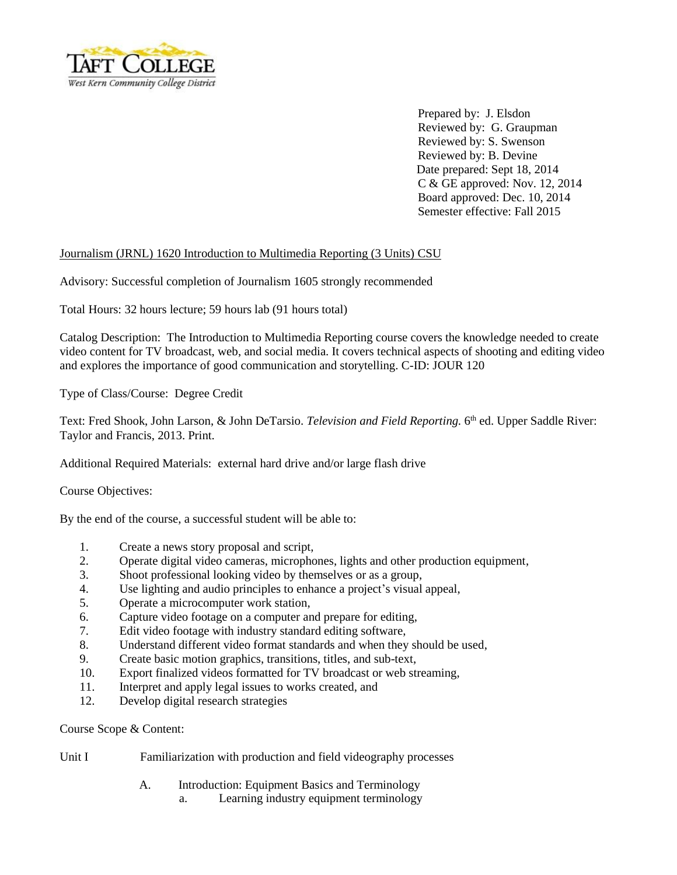

 Prepared by: J. Elsdon Reviewed by: G. Graupman Reviewed by: S. Swenson Reviewed by: B. Devine Date prepared: Sept 18, 2014 C & GE approved: Nov. 12, 2014 Board approved: Dec. 10, 2014 Semester effective: Fall 2015

### Journalism (JRNL) 1620 Introduction to Multimedia Reporting (3 Units) CSU

Advisory: Successful completion of Journalism 1605 strongly recommended

Total Hours: 32 hours lecture; 59 hours lab (91 hours total)

Catalog Description: The Introduction to Multimedia Reporting course covers the knowledge needed to create video content for TV broadcast, web, and social media. It covers technical aspects of shooting and editing video and explores the importance of good communication and storytelling. C-ID: JOUR 120

Type of Class/Course: Degree Credit

Text: Fred Shook, John Larson, & John DeTarsio. *Television and Field Reporting.* 6 th ed. Upper Saddle River: Taylor and Francis, 2013. Print.

Additional Required Materials: external hard drive and/or large flash drive

Course Objectives:

By the end of the course, a successful student will be able to:

- 1. Create a news story proposal and script,
- 2. Operate digital video cameras, microphones, lights and other production equipment,
- 3. Shoot professional looking video by themselves or as a group,
- 4. Use lighting and audio principles to enhance a project's visual appeal,
- 5. Operate a microcomputer work station,
- 6. Capture video footage on a computer and prepare for editing,
- 7. Edit video footage with industry standard editing software,
- 8. Understand different video format standards and when they should be used,
- 9. Create basic motion graphics, transitions, titles, and sub-text,
- 10. Export finalized videos formatted for TV broadcast or web streaming,
- 11. Interpret and apply legal issues to works created, and
- 12. Develop digital research strategies

Course Scope & Content:

### Unit I Familiarization with production and field videography processes

- A. Introduction: Equipment Basics and Terminology
	- a. Learning industry equipment terminology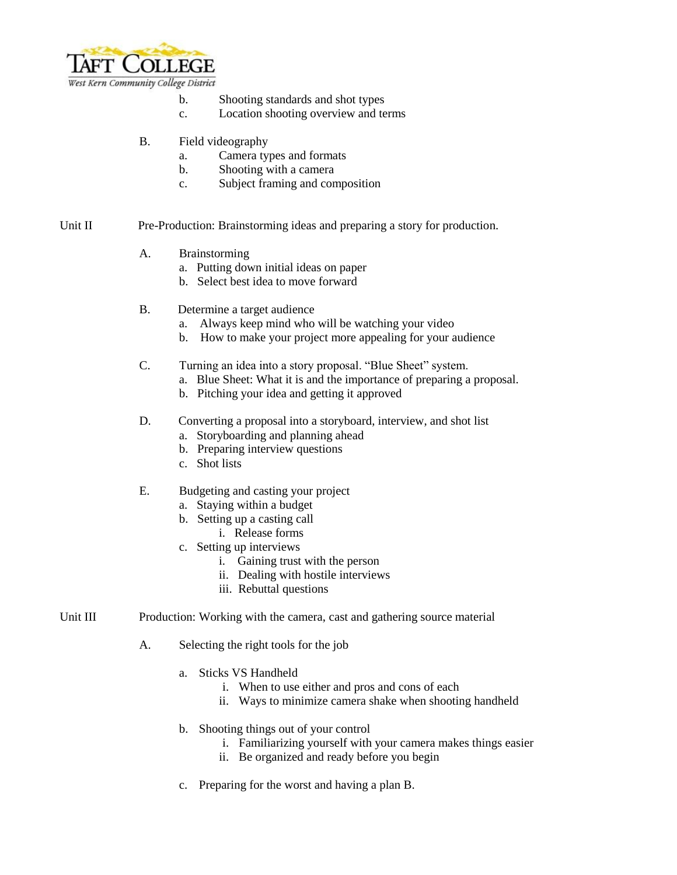

- b. Shooting standards and shot types
- c. Location shooting overview and terms
- B. Field videography
	- a. Camera types and formats
	- b. Shooting with a camera
	- c. Subject framing and composition

### Unit II Pre-Production: Brainstorming ideas and preparing a story for production.

- A. Brainstorming
	- a. Putting down initial ideas on paper
	- b. Select best idea to move forward
- B. Determine a target audience
	- a. Always keep mind who will be watching your video
	- b. How to make your project more appealing for your audience

### C. Turning an idea into a story proposal. "Blue Sheet" system.

- a. Blue Sheet: What it is and the importance of preparing a proposal.
- b. Pitching your idea and getting it approved

## D. Converting a proposal into a storyboard, interview, and shot list

- a. Storyboarding and planning ahead
- b. Preparing interview questions
- c. Shot lists

### E. Budgeting and casting your project

- a. Staying within a budget
- b. Setting up a casting call
	- i. Release forms
- c. Setting up interviews
	- i. Gaining trust with the person
	- ii. Dealing with hostile interviews
	- iii. Rebuttal questions
- Unit III Production: Working with the camera, cast and gathering source material
	- A. Selecting the right tools for the job
		- a. Sticks VS Handheld
			- i. When to use either and pros and cons of each
			- ii. Ways to minimize camera shake when shooting handheld
		- b. Shooting things out of your control
			- i. Familiarizing yourself with your camera makes things easier
			- ii. Be organized and ready before you begin
		- c. Preparing for the worst and having a plan B.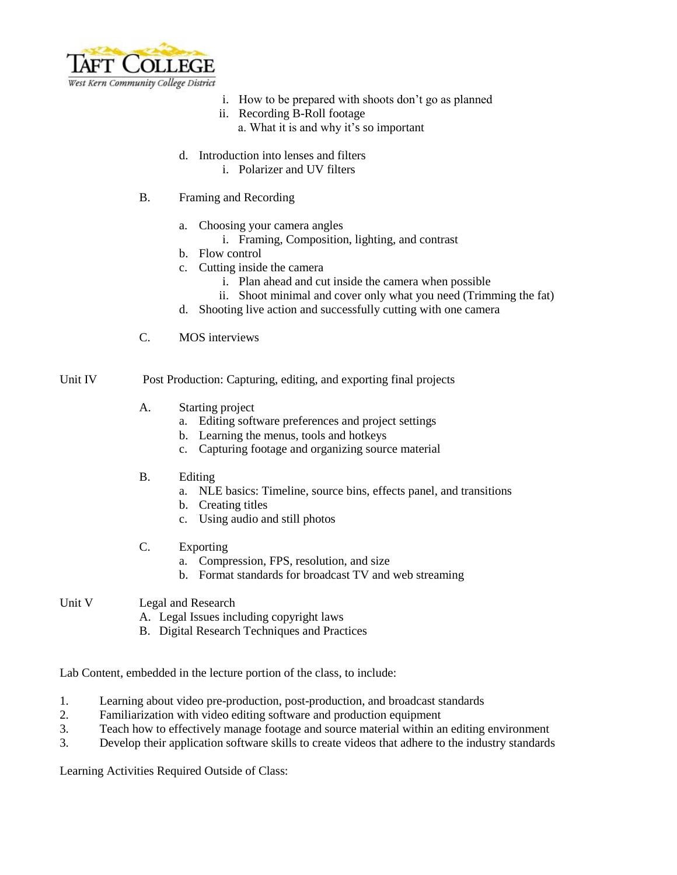

- i. How to be prepared with shoots don't go as planned
- ii. Recording B-Roll footage
	- a. What it is and why it's so important
- d. Introduction into lenses and filters
	- i. Polarizer and UV filters
- B. Framing and Recording
	- a. Choosing your camera angles
		- i. Framing, Composition, lighting, and contrast
	- b. Flow control
	- c. Cutting inside the camera
		- i. Plan ahead and cut inside the camera when possible
		- ii. Shoot minimal and cover only what you need (Trimming the fat)
	- d. Shooting live action and successfully cutting with one camera
- C. MOS interviews

Unit IV Post Production: Capturing, editing, and exporting final projects

- A. Starting project
	- a. Editing software preferences and project settings
	- b. Learning the menus, tools and hotkeys
	- c. Capturing footage and organizing source material
- B. Editing
	- a. NLE basics: Timeline, source bins, effects panel, and transitions
	- b. Creating titles
	- c. Using audio and still photos
- C. Exporting
	- a. Compression, FPS, resolution, and size
	- b. Format standards for broadcast TV and web streaming
- Unit V Legal and Research
	- A. Legal Issues including copyright laws
	- B. Digital Research Techniques and Practices

Lab Content, embedded in the lecture portion of the class, to include:

- 1. Learning about video pre-production, post-production, and broadcast standards
- 2. Familiarization with video editing software and production equipment
- 3. Teach how to effectively manage footage and source material within an editing environment
- 3. Develop their application software skills to create videos that adhere to the industry standards

Learning Activities Required Outside of Class: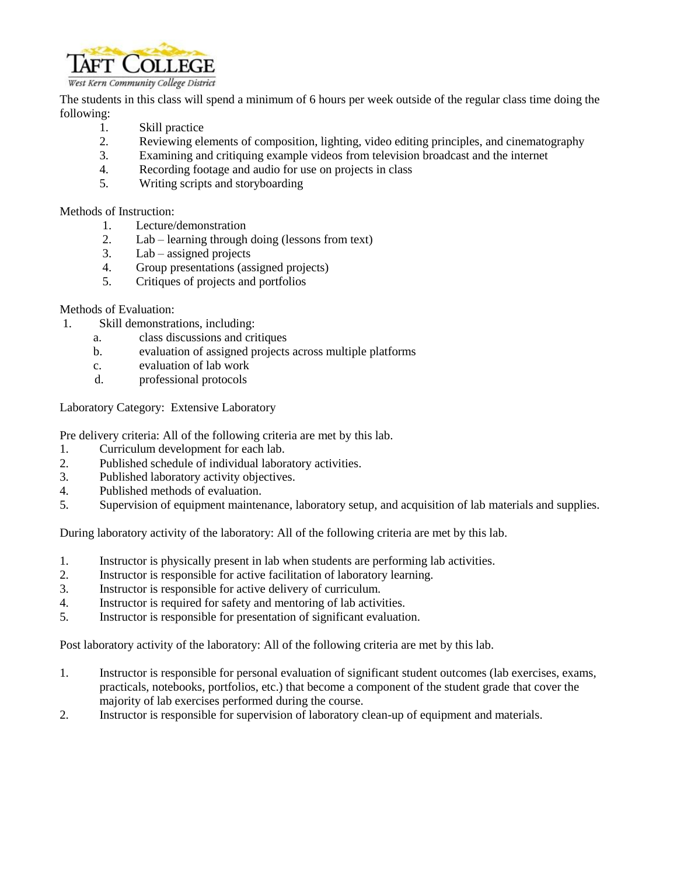

The students in this class will spend a minimum of 6 hours per week outside of the regular class time doing the following:

- 1. Skill practice
- 2. Reviewing elements of composition, lighting, video editing principles, and cinematography
- 3. Examining and critiquing example videos from television broadcast and the internet
- 4. Recording footage and audio for use on projects in class
- 5. Writing scripts and storyboarding

Methods of Instruction:

- 1. Lecture/demonstration
- 2. Lab learning through doing (lessons from text)
- 3. Lab assigned projects
- 4. Group presentations (assigned projects)
- 5. Critiques of projects and portfolios

### Methods of Evaluation:

- 1. Skill demonstrations, including:
	- a. class discussions and critiques
	- b. evaluation of assigned projects across multiple platforms
	- c. evaluation of lab work
	- d. professional protocols

Laboratory Category: Extensive Laboratory

Pre delivery criteria: All of the following criteria are met by this lab.

- 1. Curriculum development for each lab.
- 2. Published schedule of individual laboratory activities.
- 3. Published laboratory activity objectives.
- 4. Published methods of evaluation.
- 5. Supervision of equipment maintenance, laboratory setup, and acquisition of lab materials and supplies.

During laboratory activity of the laboratory: All of the following criteria are met by this lab.

- 1. Instructor is physically present in lab when students are performing lab activities.
- 2. Instructor is responsible for active facilitation of laboratory learning.
- 3. Instructor is responsible for active delivery of curriculum.
- 4. Instructor is required for safety and mentoring of lab activities.
- 5. Instructor is responsible for presentation of significant evaluation.

Post laboratory activity of the laboratory: All of the following criteria are met by this lab.

- 1. Instructor is responsible for personal evaluation of significant student outcomes (lab exercises, exams, practicals, notebooks, portfolios, etc.) that become a component of the student grade that cover the majority of lab exercises performed during the course.
- 2. Instructor is responsible for supervision of laboratory clean-up of equipment and materials.